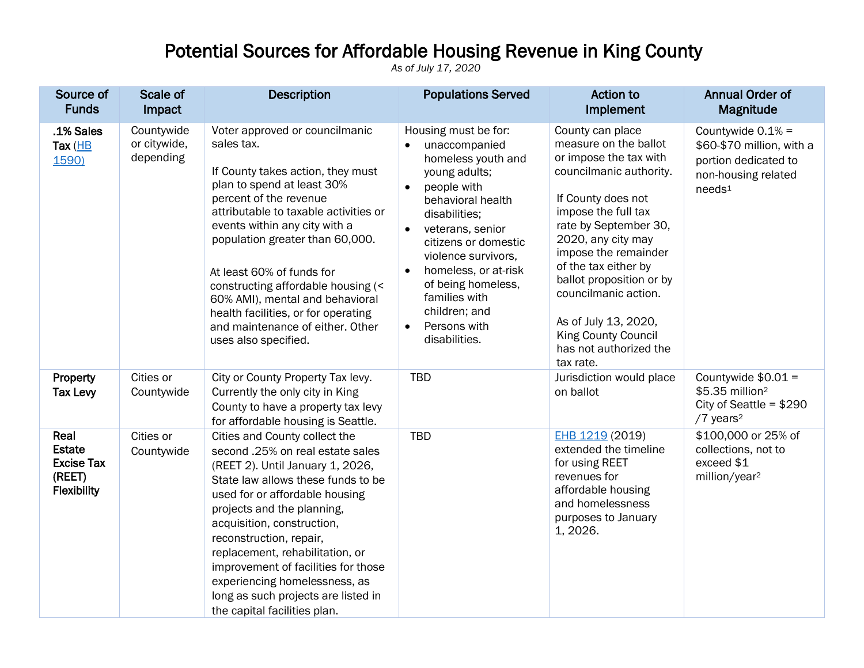## Potential Sources for Affordable Housing Revenue in King County

*As of July 17, 2020*

| Source of<br><b>Funds</b>                                           | Scale of<br>Impact                      | <b>Description</b>                                                                                                                                                                                                                                                                                                                                                                                                                                              | <b>Populations Served</b>                                                                                                                                                                                                                                                                                                                                                              | Action to<br>Implement                                                                                                                                                                                                                                                                                                                                                                      | <b>Annual Order of</b><br>Magnitude                                                                                   |
|---------------------------------------------------------------------|-----------------------------------------|-----------------------------------------------------------------------------------------------------------------------------------------------------------------------------------------------------------------------------------------------------------------------------------------------------------------------------------------------------------------------------------------------------------------------------------------------------------------|----------------------------------------------------------------------------------------------------------------------------------------------------------------------------------------------------------------------------------------------------------------------------------------------------------------------------------------------------------------------------------------|---------------------------------------------------------------------------------------------------------------------------------------------------------------------------------------------------------------------------------------------------------------------------------------------------------------------------------------------------------------------------------------------|-----------------------------------------------------------------------------------------------------------------------|
| .1% Sales<br>Tax $(HB)$<br>1590)                                    | Countywide<br>or citywide,<br>depending | Voter approved or councilmanic<br>sales tax.<br>If County takes action, they must<br>plan to spend at least 30%<br>percent of the revenue<br>attributable to taxable activities or<br>events within any city with a<br>population greater than 60,000.<br>At least 60% of funds for<br>constructing affordable housing (<<br>60% AMI), mental and behavioral<br>health facilities, or for operating<br>and maintenance of either. Other<br>uses also specified. | Housing must be for:<br>unaccompanied<br>$\bullet$<br>homeless youth and<br>young adults;<br>people with<br>$\bullet$<br>behavioral health<br>disabilities;<br>veterans, senior<br>$\bullet$<br>citizens or domestic<br>violence survivors,<br>homeless, or at-risk<br>$\bullet$<br>of being homeless,<br>families with<br>children; and<br>Persons with<br>$\bullet$<br>disabilities. | County can place<br>measure on the ballot<br>or impose the tax with<br>councilmanic authority.<br>If County does not<br>impose the full tax<br>rate by September 30,<br>2020, any city may<br>impose the remainder<br>of the tax either by<br>ballot proposition or by<br>councilmanic action.<br>As of July 13, 2020,<br><b>King County Council</b><br>has not authorized the<br>tax rate. | Countywide $0.1% =$<br>\$60-\$70 million, with a<br>portion dedicated to<br>non-housing related<br>needs <sup>1</sup> |
| Property<br><b>Tax Levy</b>                                         | Cities or<br>Countywide                 | City or County Property Tax levy.<br>Currently the only city in King<br>County to have a property tax levy<br>for affordable housing is Seattle.                                                                                                                                                                                                                                                                                                                | <b>TBD</b>                                                                                                                                                                                                                                                                                                                                                                             | Jurisdiction would place<br>on ballot                                                                                                                                                                                                                                                                                                                                                       | Countywide $$0.01 =$<br>\$5.35 million <sup>2</sup><br>City of Seattle = $$290$<br>/7 years <sup>2</sup>              |
| Real<br><b>Estate</b><br><b>Excise Tax</b><br>(REET)<br>Flexibility | Cities or<br>Countywide                 | Cities and County collect the<br>second .25% on real estate sales<br>(REET 2). Until January 1, 2026,<br>State law allows these funds to be<br>used for or affordable housing<br>projects and the planning,<br>acquisition, construction,<br>reconstruction, repair,<br>replacement, rehabilitation, or<br>improvement of facilities for those<br>experiencing homelessness, as<br>long as such projects are listed in<br>the capital facilities plan.          | <b>TBD</b>                                                                                                                                                                                                                                                                                                                                                                             | EHB 1219 (2019)<br>extended the timeline<br>for using REET<br>revenues for<br>affordable housing<br>and homelessness<br>purposes to January<br>1, 2026.                                                                                                                                                                                                                                     | \$100,000 or 25% of<br>collections, not to<br>exceed \$1<br>million/year <sup>2</sup>                                 |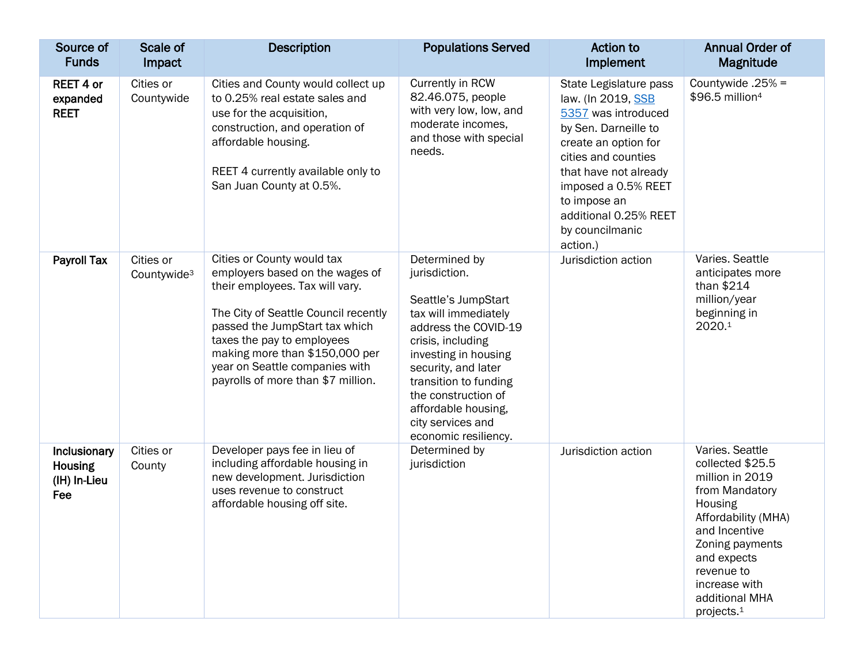| Source of<br><b>Funds</b>                             | Scale of<br>Impact                   | <b>Description</b>                                                                                                                                                                                                                                                                                                 | <b>Populations Served</b>                                                                                                                                                                                                                                                                     | Action to<br>Implement                                                                                                                                                                                                                                             | <b>Annual Order of</b><br>Magnitude                                                                                                                                                                                                      |
|-------------------------------------------------------|--------------------------------------|--------------------------------------------------------------------------------------------------------------------------------------------------------------------------------------------------------------------------------------------------------------------------------------------------------------------|-----------------------------------------------------------------------------------------------------------------------------------------------------------------------------------------------------------------------------------------------------------------------------------------------|--------------------------------------------------------------------------------------------------------------------------------------------------------------------------------------------------------------------------------------------------------------------|------------------------------------------------------------------------------------------------------------------------------------------------------------------------------------------------------------------------------------------|
| <b>REET 4 or</b><br>expanded<br><b>REET</b>           | Cities or<br>Countywide              | Cities and County would collect up<br>to 0.25% real estate sales and<br>use for the acquisition,<br>construction, and operation of<br>affordable housing.<br>REET 4 currently available only to<br>San Juan County at 0.5%.                                                                                        | Currently in RCW<br>82.46.075, people<br>with very low, low, and<br>moderate incomes,<br>and those with special<br>needs.                                                                                                                                                                     | State Legislature pass<br>law. (In 2019, SSB<br>5357 was introduced<br>by Sen. Darneille to<br>create an option for<br>cities and counties<br>that have not already<br>imposed a 0.5% REET<br>to impose an<br>additional 0.25% REET<br>by councilmanic<br>action.) | Countywide $.25% =$<br>\$96.5 million <sup>4</sup>                                                                                                                                                                                       |
| <b>Payroll Tax</b>                                    | Cities or<br>Countywide <sup>3</sup> | Cities or County would tax<br>employers based on the wages of<br>their employees. Tax will vary.<br>The City of Seattle Council recently<br>passed the JumpStart tax which<br>taxes the pay to employees<br>making more than \$150,000 per<br>year on Seattle companies with<br>payrolls of more than \$7 million. | Determined by<br>jurisdiction.<br>Seattle's JumpStart<br>tax will immediately<br>address the COVID-19<br>crisis, including<br>investing in housing<br>security, and later<br>transition to funding<br>the construction of<br>affordable housing,<br>city services and<br>economic resiliency. | Jurisdiction action                                                                                                                                                                                                                                                | Varies. Seattle<br>anticipates more<br>than $$214$<br>million/year<br>beginning in<br>2020.1                                                                                                                                             |
| Inclusionary<br><b>Housing</b><br>(IH) In-Lieu<br>Fee | Cities or<br>County                  | Developer pays fee in lieu of<br>including affordable housing in<br>new development. Jurisdiction<br>uses revenue to construct<br>affordable housing off site.                                                                                                                                                     | Determined by<br>jurisdiction                                                                                                                                                                                                                                                                 | Jurisdiction action                                                                                                                                                                                                                                                | Varies. Seattle<br>collected \$25.5<br>million in 2019<br>from Mandatory<br>Housing<br>Affordability (MHA)<br>and Incentive<br>Zoning payments<br>and expects<br>revenue to<br>increase with<br>additional MHA<br>projects. <sup>1</sup> |